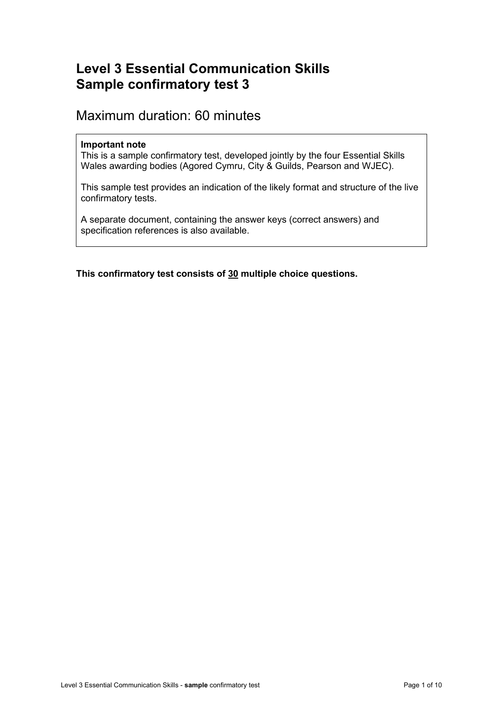## **Level 3 Essential Communication Skills Sample confirmatory test 3**

## Maximum duration: 60 minutes

## **Important note**

This is a sample confirmatory test, developed jointly by the four Essential Skills Wales awarding bodies (Agored Cymru, City & Guilds, Pearson and WJEC).

This sample test provides an indication of the likely format and structure of the live confirmatory tests.

A separate document, containing the answer keys (correct answers) and specification references is also available.

**This confirmatory test consists of 30 multiple choice questions.**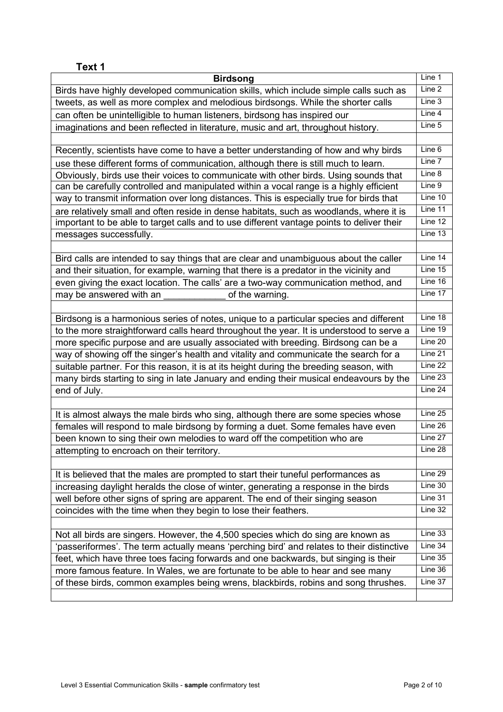| Text 1                                                                                    |         |
|-------------------------------------------------------------------------------------------|---------|
| <b>Birdsong</b>                                                                           | Line 1  |
| Birds have highly developed communication skills, which include simple calls such as      | Line 2  |
| tweets, as well as more complex and melodious birdsongs. While the shorter calls          | Line 3  |
| can often be unintelligible to human listeners, birdsong has inspired our                 | Line 4  |
| imaginations and been reflected in literature, music and art, throughout history.         | Line 5  |
|                                                                                           |         |
| Recently, scientists have come to have a better understanding of how and why birds        | Line 6  |
| use these different forms of communication, although there is still much to learn.        | Line 7  |
| Obviously, birds use their voices to communicate with other birds. Using sounds that      | Line 8  |
| can be carefully controlled and manipulated within a vocal range is a highly efficient    | Line 9  |
| way to transmit information over long distances. This is especially true for birds that   | Line 10 |
| are relatively small and often reside in dense habitats, such as woodlands, where it is   | Line 11 |
| important to be able to target calls and to use different vantage points to deliver their | Line 12 |
| messages successfully.                                                                    | Line 13 |
|                                                                                           |         |
| Bird calls are intended to say things that are clear and unambiguous about the caller     | Line 14 |
| and their situation, for example, warning that there is a predator in the vicinity and    | Line 15 |
| even giving the exact location. The calls' are a two-way communication method, and        | Line 16 |
| of the warning.<br>may be answered with an                                                | Line 17 |
|                                                                                           |         |
| Birdsong is a harmonious series of notes, unique to a particular species and different    | Line 18 |
| to the more straightforward calls heard throughout the year. It is understood to serve a  | Line 19 |
| more specific purpose and are usually associated with breeding. Birdsong can be a         | Line 20 |
| way of showing off the singer's health and vitality and communicate the search for a      | Line 21 |
| suitable partner. For this reason, it is at its height during the breeding season, with   | Line 22 |
| many birds starting to sing in late January and ending their musical endeavours by the    | Line 23 |
| end of July.                                                                              | Line 24 |
|                                                                                           |         |
| It is almost always the male birds who sing, although there are some species whose        | Line 25 |
| females will respond to male birdsong by forming a duet. Some females have even           | Line 26 |
| been known to sing their own melodies to ward off the competition who are                 | Line 27 |
| attempting to encroach on their territory.                                                | Line 28 |
|                                                                                           |         |
| It is believed that the males are prompted to start their tuneful performances as         | Line 29 |
| increasing daylight heralds the close of winter, generating a response in the birds       | Line 30 |
| well before other signs of spring are apparent. The end of their singing season           | Line 31 |
| coincides with the time when they begin to lose their feathers.                           | Line 32 |
|                                                                                           |         |
| Not all birds are singers. However, the 4,500 species which do sing are known as          | Line 33 |
| 'passeriformes'. The term actually means 'perching bird' and relates to their distinctive | Line 34 |
| feet, which have three toes facing forwards and one backwards, but singing is their       | Line 35 |
| more famous feature. In Wales, we are fortunate to be able to hear and see many           | Line 36 |
| of these birds, common examples being wrens, blackbirds, robins and song thrushes.        | Line 37 |
|                                                                                           |         |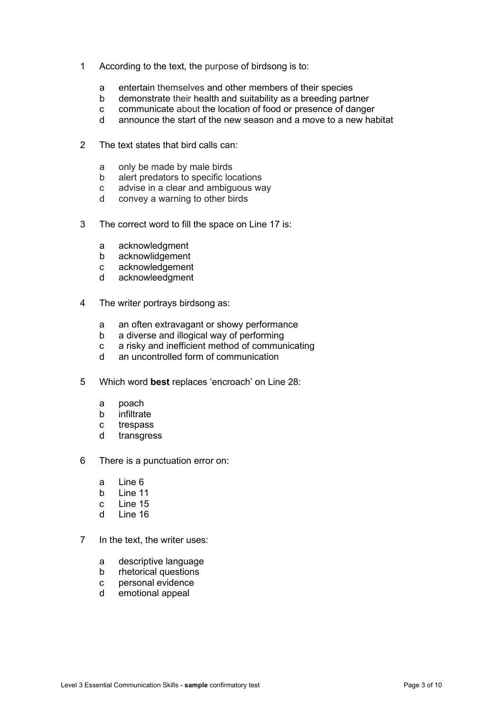- 1 According to the text, the purpose of birdsong is to:
	- a entertain themselves and other members of their species<br>b demonstrate their health and suitability as a breeding part
	- b demonstrate their health and suitability as a breeding partner<br>c communicate about the location of food or presence of dange
	- c communicate about the location of food or presence of danger<br>d announce the start of the new season and a move to a new hal
	- announce the start of the new season and a move to a new habitat
- 2 The text states that bird calls can:
	- a only be made by male birds
	- b alert predators to specific locations
	- c advise in a clear and ambiguous way<br>d convey a warning to other birds
	- convey a warning to other birds
- 3 The correct word to fill the space on Line 17 is:
	- a acknowledgment
	- b acknowlidgement
	- c acknowledgement
	- d acknowleedgment
- 4 The writer portrays birdsong as:
	- a an often extravagant or showy performance
	- b a diverse and illogical way of performing
	- c a risky and inefficient method of communicating
	- d an uncontrolled form of communication
- 5 Which word **best** replaces 'encroach' on Line 28:
	- a poach<br>b infiltrat
	- infiltrate
	- c trespass<br>d transgres
	- transgress
- 6 There is a punctuation error on:
	- a Line 6
	- b Line 11
	- c Line 15<br>d Line 16
	- Line 16
- 7 In the text, the writer uses:
	- a descriptive language
	- b rhetorical questions
	- c personal evidence
	- d emotional appeal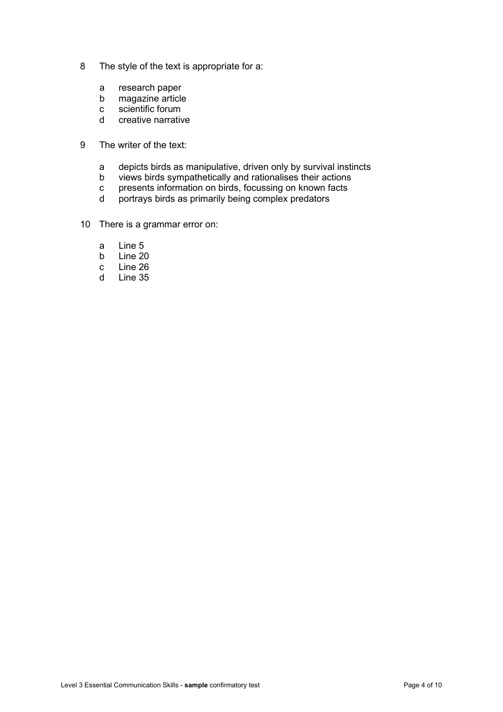- 8 The style of the text is appropriate for a:
	- a research paper<br>b magazine article
	- b magazine article<br>c scientific forum
	- c scientific forum<br>d creative narrative
	- creative narrative
- 9 The writer of the text:
	- a depicts birds as manipulative, driven only by survival instincts
	- b views birds sympathetically and rationalises their actions<br>c presents information on birds, focussing on known facts
	- c presents information on birds, focussing on known facts<br>d portrays birds as primarily being complex predators
	- portrays birds as primarily being complex predators
- 10 There is a grammar error on:
	- a Line 5<br>b Line 20
	- b Line 20<br>c Line 26
	- c Line 26<br>d Line 35
	- Line 35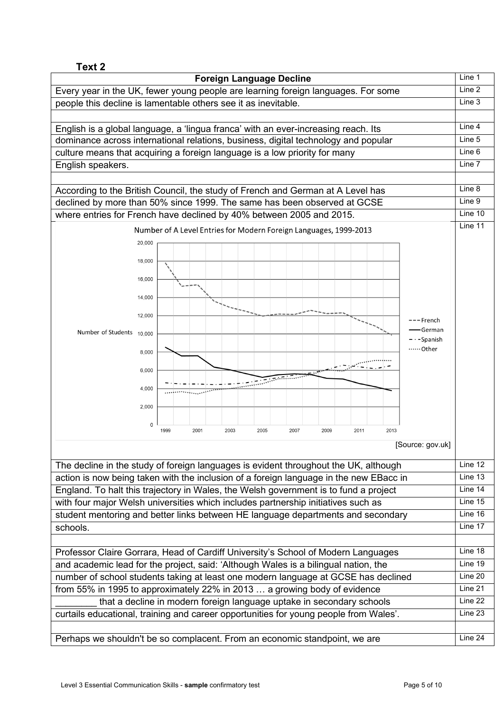| Text 2                                                                                                                                                                                                                                                                                                                                                   |         |
|----------------------------------------------------------------------------------------------------------------------------------------------------------------------------------------------------------------------------------------------------------------------------------------------------------------------------------------------------------|---------|
| <b>Foreign Language Decline</b>                                                                                                                                                                                                                                                                                                                          | Line 1  |
| Every year in the UK, fewer young people are learning foreign languages. For some                                                                                                                                                                                                                                                                        | Line 2  |
| people this decline is lamentable others see it as inevitable.                                                                                                                                                                                                                                                                                           | Line 3  |
|                                                                                                                                                                                                                                                                                                                                                          |         |
| English is a global language, a 'lingua franca' with an ever-increasing reach. Its                                                                                                                                                                                                                                                                       | Line 4  |
| dominance across international relations, business, digital technology and popular                                                                                                                                                                                                                                                                       | Line 5  |
| culture means that acquiring a foreign language is a low priority for many                                                                                                                                                                                                                                                                               | Line 6  |
| English speakers.                                                                                                                                                                                                                                                                                                                                        | Line 7  |
|                                                                                                                                                                                                                                                                                                                                                          |         |
| According to the British Council, the study of French and German at A Level has                                                                                                                                                                                                                                                                          | Line 8  |
| declined by more than 50% since 1999. The same has been observed at GCSE                                                                                                                                                                                                                                                                                 | Line 9  |
| where entries for French have declined by 40% between 2005 and 2015.                                                                                                                                                                                                                                                                                     | Tine 10 |
| Number of A Level Entries for Modern Foreign Languages, 1999-2013                                                                                                                                                                                                                                                                                        | Line 11 |
| 20,000                                                                                                                                                                                                                                                                                                                                                   |         |
|                                                                                                                                                                                                                                                                                                                                                          |         |
| 18,000                                                                                                                                                                                                                                                                                                                                                   |         |
| 16,000                                                                                                                                                                                                                                                                                                                                                   |         |
|                                                                                                                                                                                                                                                                                                                                                          |         |
| 14,000                                                                                                                                                                                                                                                                                                                                                   |         |
| 12,000                                                                                                                                                                                                                                                                                                                                                   |         |
| –– French<br><del>-</del> German<br>Number of Students 10,000                                                                                                                                                                                                                                                                                            |         |
| - · -Spanish                                                                                                                                                                                                                                                                                                                                             |         |
| ……Other<br>8,000                                                                                                                                                                                                                                                                                                                                         |         |
|                                                                                                                                                                                                                                                                                                                                                          |         |
| 6,000<br>ستشهدنهم                                                                                                                                                                                                                                                                                                                                        |         |
| $\frac{1}{\sqrt{2\pi}\sin^2(1+\cos^2(1+\cos^2(1+\cos^2(1+\cos^2(1+\cos^2(1+\cos^2(1+\cos^2(1+\cos^2(1+\cos^2(1+\cos^2(1+\cos^2(1+\cos^2(1+\cos^2(1+\cos^2(1+\cos^2(1+\cos^2(1+\cos^2(1+\cos^2(1+\cos^2(1+\cos^2(1+\cos^2(1+\cos^2(1+\cos^2(1+\cos^2(1+\cos^2(1+\cos^2(1+\cos^2(1+\cos^2(1+\cos^2(1+\cos^2(1+\cos^2(1+\cos^2(1+\cos^2(1+\cos^2($<br>4,000 |         |
| 2,000                                                                                                                                                                                                                                                                                                                                                    |         |
|                                                                                                                                                                                                                                                                                                                                                          |         |
| 0<br>2001<br>2003<br>2007<br>2013<br>1999<br>2005<br>2009<br>2011                                                                                                                                                                                                                                                                                        |         |
| [Source: gov.uk]                                                                                                                                                                                                                                                                                                                                         |         |
|                                                                                                                                                                                                                                                                                                                                                          |         |
| The decline in the study of foreign languages is evident throughout the UK, although                                                                                                                                                                                                                                                                     | Line 12 |
| action is now being taken with the inclusion of a foreign language in the new EBacc in                                                                                                                                                                                                                                                                   | Line 13 |
| England. To halt this trajectory in Wales, the Welsh government is to fund a project                                                                                                                                                                                                                                                                     | Line 14 |
| with four major Welsh universities which includes partnership initiatives such as                                                                                                                                                                                                                                                                        | Line 15 |
| student mentoring and better links between HE language departments and secondary                                                                                                                                                                                                                                                                         | Line 16 |
| schools.                                                                                                                                                                                                                                                                                                                                                 | Line 17 |
|                                                                                                                                                                                                                                                                                                                                                          |         |
| Professor Claire Gorrara, Head of Cardiff University's School of Modern Languages                                                                                                                                                                                                                                                                        | Line 18 |
| and academic lead for the project, said: 'Although Wales is a bilingual nation, the                                                                                                                                                                                                                                                                      | Line 19 |
| number of school students taking at least one modern language at GCSE has declined                                                                                                                                                                                                                                                                       | Line 20 |
| from 55% in 1995 to approximately 22% in 2013  a growing body of evidence                                                                                                                                                                                                                                                                                | Line 21 |
| that a decline in modern foreign language uptake in secondary schools                                                                                                                                                                                                                                                                                    | Line 22 |
| curtails educational, training and career opportunities for young people from Wales'.                                                                                                                                                                                                                                                                    | Line 23 |
|                                                                                                                                                                                                                                                                                                                                                          |         |
| Perhaps we shouldn't be so complacent. From an economic standpoint, we are                                                                                                                                                                                                                                                                               | Line 24 |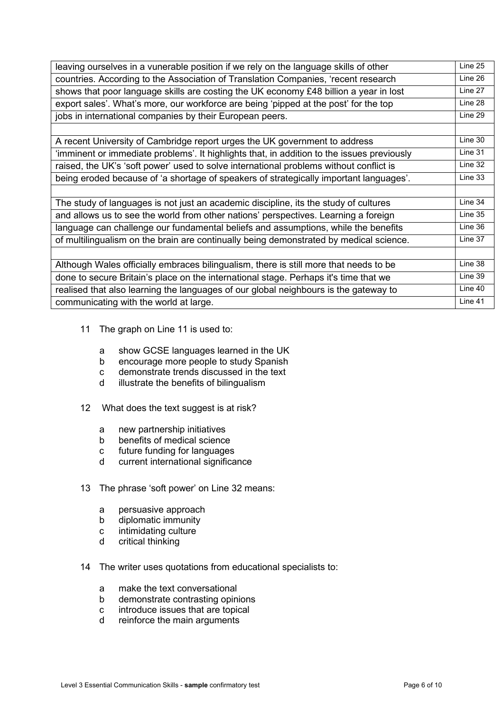| leaving ourselves in a vunerable position if we rely on the language skills of other       | Line 25 |
|--------------------------------------------------------------------------------------------|---------|
| countries. According to the Association of Translation Companies, 'recent research         | Line 26 |
| shows that poor language skills are costing the UK economy £48 billion a year in lost      | Line 27 |
| export sales'. What's more, our workforce are being 'pipped at the post' for the top       | Line 28 |
| jobs in international companies by their European peers.                                   | Line 29 |
|                                                                                            |         |
| A recent University of Cambridge report urges the UK government to address                 | Line 30 |
| 'imminent or immediate problems'. It highlights that, in addition to the issues previously | Line 31 |
| raised, the UK's 'soft power' used to solve international problems without conflict is     | Line 32 |
| being eroded because of 'a shortage of speakers of strategically important languages'.     | Line 33 |
|                                                                                            |         |
| The study of languages is not just an academic discipline, its the study of cultures       | Line 34 |
| and allows us to see the world from other nations' perspectives. Learning a foreign        | Line 35 |
| language can challenge our fundamental beliefs and assumptions, while the benefits         | Line 36 |
| of multilingualism on the brain are continually being demonstrated by medical science.     | Line 37 |
|                                                                                            |         |
| Although Wales officially embraces bilingualism, there is still more that needs to be      | Line 38 |
| done to secure Britain's place on the international stage. Perhaps it's time that we       | Line 39 |
| realised that also learning the languages of our global neighbours is the gateway to       | Line 40 |
| communicating with the world at large.                                                     | Line 41 |

- 11 The graph on Line 11 is used to:
	- a show GCSE languages learned in the UK
	- b encourage more people to study Spanish
	- c demonstrate trends discussed in the text<br>d illustrate the benefits of bilingualism
	- illustrate the benefits of bilingualism
- 12 What does the text suggest is at risk?
	- a new partnership initiatives<br>b benefits of medical science
	- b benefits of medical science<br>c future funding for languages
	- c future funding for languages<br>d current international significa
	- current international significance
- 13 The phrase 'soft power' on Line 32 means:
	- a persuasive approach
	- b diplomatic immunity
	- c intimidating culture<br>d critical thinking
	- critical thinking
- 14 The writer uses quotations from educational specialists to:
	- a make the text conversational
	- b demonstrate contrasting opinions
	- c introduce issues that are topical
	- d reinforce the main arguments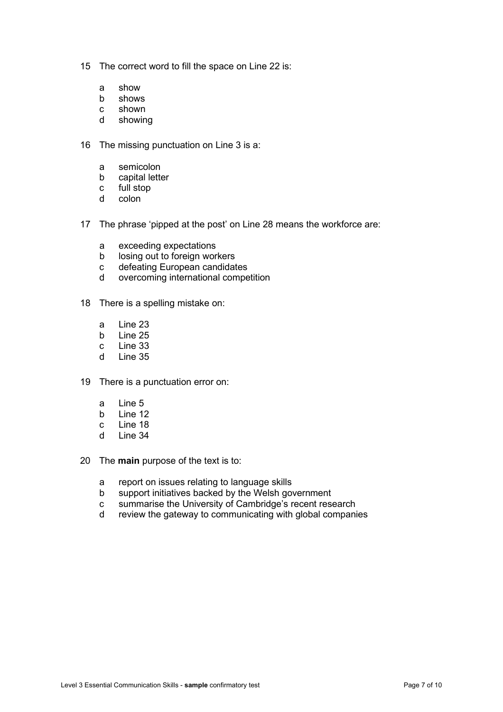- 15 The correct word to fill the space on Line 22 is:
	- a show<br>b shows
	- shows
	- c shown<br>d showin
	- showing
- 16 The missing punctuation on Line 3 is a:
	- a semicolon
	- b capital letter
	- c full stop<br>d colon
	- colon
- 17 The phrase 'pipped at the post' on Line 28 means the workforce are:
	- a exceeding expectations
	- b losing out to foreign workers<br>c defeating European candidat
	- defeating European candidates
	- d overcoming international competition
- 18 There is a spelling mistake on:
	- a Line 23<br>b Line 25
	- Line 25
	- c Line 33<br>d Line 35
	- Line 35
- 19 There is a punctuation error on:
	- a Line 5<br>b line 12
	- $l$  ine 12
	- c Line 18<br>d Line 34
	- Line 34
- 20 The **main** purpose of the text is to:
	- a report on issues relating to language skills
	- b support initiatives backed by the Welsh government
	- c summarise the University of Cambridge's recent research<br>d review the gateway to communicating with global compani
	- review the gateway to communicating with global companies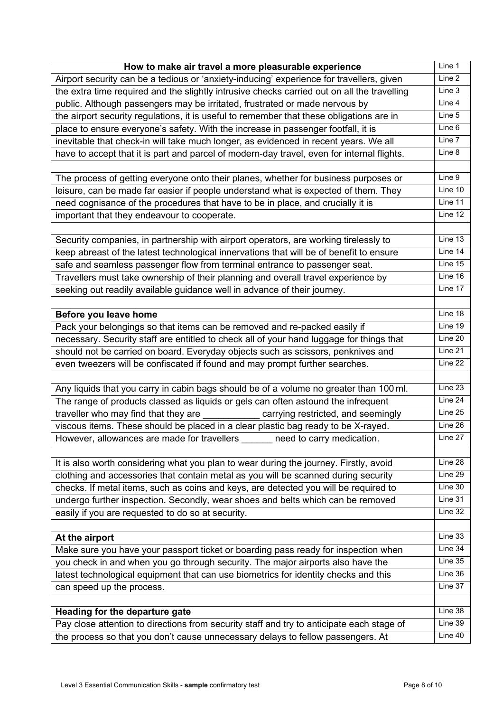| How to make air travel a more pleasurable experience                                        | Line 1             |
|---------------------------------------------------------------------------------------------|--------------------|
| Airport security can be a tedious or 'anxiety-inducing' experience for travellers, given    | Line 2             |
| the extra time required and the slightly intrusive checks carried out on all the travelling | Line 3             |
| public. Although passengers may be irritated, frustrated or made nervous by                 | Line 4             |
| the airport security regulations, it is useful to remember that these obligations are in    | Line 5             |
| place to ensure everyone's safety. With the increase in passenger footfall, it is           | Line 6             |
| inevitable that check-in will take much longer, as evidenced in recent years. We all        | Line 7             |
| have to accept that it is part and parcel of modern-day travel, even for internal flights.  | Line 8             |
|                                                                                             |                    |
| The process of getting everyone onto their planes, whether for business purposes or         | Line 9             |
| leisure, can be made far easier if people understand what is expected of them. They         | Line 10            |
| need cognisance of the procedures that have to be in place, and crucially it is             | Line 11            |
| important that they endeavour to cooperate.                                                 | Line 12            |
|                                                                                             |                    |
| Security companies, in partnership with airport operators, are working tirelessly to        | Line 13            |
| keep abreast of the latest technological innervations that will be of benefit to ensure     | Line 14            |
| safe and seamless passenger flow from terminal entrance to passenger seat.                  | Line 15            |
| Travellers must take ownership of their planning and overall travel experience by           | Line 16            |
| seeking out readily available guidance well in advance of their journey.                    | Line 17            |
|                                                                                             |                    |
| Before you leave home                                                                       | Line 18            |
| Pack your belongings so that items can be removed and re-packed easily if                   | Line 19            |
| necessary. Security staff are entitled to check all of your hand luggage for things that    | Line 20            |
| should not be carried on board. Everyday objects such as scissors, penknives and            | Line 21            |
| even tweezers will be confiscated if found and may prompt further searches.                 | Line 22            |
|                                                                                             |                    |
| Any liquids that you carry in cabin bags should be of a volume no greater than 100 ml.      | Line 23            |
| The range of products classed as liquids or gels can often astound the infrequent           | Line 24            |
| traveller who may find that they are<br>carrying restricted, and seemingly                  | Line 25            |
| viscous items. These should be placed in a clear plastic bag ready to be X-rayed.           | Line 26            |
| However, allowances are made for travellers ______ need to carry medication.                | Line 27            |
|                                                                                             |                    |
| It is also worth considering what you plan to wear during the journey. Firstly, avoid       | Line 28<br>Line 29 |
| clothing and accessories that contain metal as you will be scanned during security          | Line 30            |
| checks. If metal items, such as coins and keys, are detected you will be required to        | Line 31            |
| undergo further inspection. Secondly, wear shoes and belts which can be removed             | Line 32            |
| easily if you are requested to do so at security.                                           |                    |
| At the airport                                                                              | Line 33            |
| Make sure you have your passport ticket or boarding pass ready for inspection when          | Line 34            |
| you check in and when you go through security. The major airports also have the             | Line 35            |
| latest technological equipment that can use biometrics for identity checks and this         | Line 36            |
| can speed up the process.                                                                   | Line 37            |
|                                                                                             |                    |
| Heading for the departure gate                                                              | Line 38            |
| Pay close attention to directions from security staff and try to anticipate each stage of   | Line 39            |
| the process so that you don't cause unnecessary delays to fellow passengers. At             | Line 40            |
|                                                                                             |                    |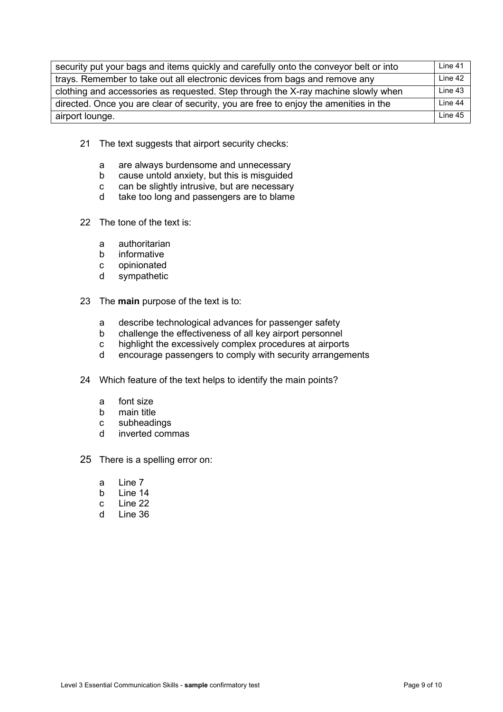| security put your bags and items quickly and carefully onto the conveyor belt or into | Line 41 |
|---------------------------------------------------------------------------------------|---------|
| trays. Remember to take out all electronic devices from bags and remove any           | Line 42 |
| clothing and accessories as requested. Step through the X-ray machine slowly when     | Line 43 |
| directed. Once you are clear of security, you are free to enjoy the amenities in the  | Line 44 |
| airport lounge.                                                                       | line 45 |

- 21 The text suggests that airport security checks:
	- a are always burdensome and unnecessary
	- b cause untold anxiety, but this is misguided
	- c can be slightly intrusive, but are necessary
	- d take too long and passengers are to blame
- 22 The tone of the text is:
	- a authoritarian<br>b informative
	- b informative<br>c opinionated
	- c opinionated<br>d sympathetic
	- sympathetic
- 23 The **main** purpose of the text is to:
	- a describe technological advances for passenger safety<br>b challenge the effectiveness of all kev airport personnel
	- b challenge the effectiveness of all key airport personnel
	- c highlight the excessively complex procedures at airports
	- d encourage passengers to comply with security arrangements
- 24 Which feature of the text helps to identify the main points?
	- a font size<br>b main title
	-
	- b main title<br>c subheadir c subheadings<br>d inverted com
	- inverted commas
- 25 There is a spelling error on:
	- a Line 7
	- b Line 14
	- c Line 22
	- d Line 36